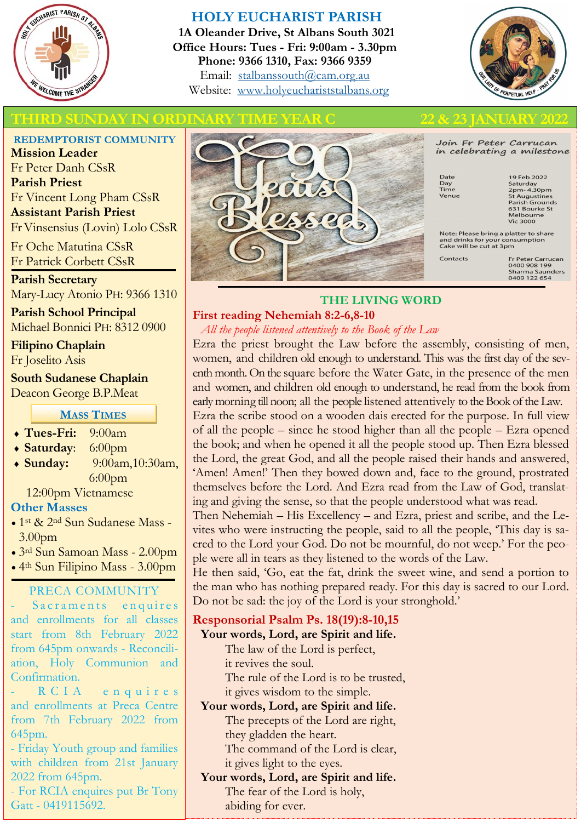

# **HOLY EUCHARIST PARISH**

**1A Oleander Drive, St Albans South 3021 Office Hours: Tues - Fri: 9:00am - 3.30pm Phone: 9366 1310, Fax: 9366 9359** Email: [stalbanssouth@cam.org.au](mailto:stalbanssouth@cam.org.au) Website:[www.holyeuchariststalbans.org](http://www.holyeuchariststalbans.org)



# **THIRD SUNDAY IN ORDINARY TIME**

**REDEMPTORIST COMMUNITY**

**Mission Leader** Fr Peter Danh CSsR **Parish Priest** Fr Vincent Long Pham CSsR **Assistant Parish Priest**  Fr Vinsensius (Lovin) Lolo CSsR

Fr Oche Matutina CSsR Fr Patrick Corbett CSsR

**Parish Secretary** Mary-Lucy Atonio PH: 9366 1310

**Parish School Principal** Michael Bonnici PH: 8312 0900

**Filipino Chaplain** Fr Joselito Asis

**South Sudanese Chaplain**

Deacon George B.P.Meat

**MASS TIMES**

- **Tues-Fri:** 9:00am
- **Saturday**: 6:00pm
- **Sunday:** 9:00am,10:30am, 6:00pm

12:00pm Vietnamese

# **Other Masses**

- 1st & 2nd Sun Sudanese Mass 3.00pm
- 3rd Sun Samoan Mass 2.00pm
- 4th Sun Filipino Mass 3.00pm

## PRECA COMMUNITY

Sacraments enquires and enrollments for all classes start from 8th February 2022 from 645pm onwards - Reconciliation, Holy Communion and Confirmation.

R C I A e n q u i r e s and enrollments at Preca Centre from 7th February 2022 from 645pm.

- Friday Youth group and families with children from 21st January 2022 from 645pm.

- For RCIA enquires put Br Tony Gatt - 0419115692.



# **THE LIVING WORD**

## **First reading Nehemiah 8:2-6,8-10**

## *All the people listened attentively to the Book of the Law*

Ezra the priest brought the Law before the assembly, consisting of men, women, and children old enough to understand. This was the first day of the seventh month. On the square before the Water Gate, in the presence of the men and women, and children old enough to understand, he read from the book from early morning till noon; all the people listened attentively to the Book of the Law.

Ezra the scribe stood on a wooden dais erected for the purpose. In full view of all the people – since he stood higher than all the people – Ezra opened the book; and when he opened it all the people stood up. Then Ezra blessed the Lord, the great God, and all the people raised their hands and answered, 'Amen! Amen!' Then they bowed down and, face to the ground, prostrated themselves before the Lord. And Ezra read from the Law of God, translating and giving the sense, so that the people understood what was read.

Then Nehemiah – His Excellency – and Ezra, priest and scribe, and the Levites who were instructing the people, said to all the people, 'This day is sacred to the Lord your God. Do not be mournful, do not weep.' For the people were all in tears as they listened to the words of the Law.

He then said, 'Go, eat the fat, drink the sweet wine, and send a portion to the man who has nothing prepared ready. For this day is sacred to our Lord. Do not be sad: the joy of the Lord is your stronghold.'

# **Responsorial Psalm Ps. 18(19):8-10,15**

## **Your words, Lord, are Spirit and life.**

The law of the Lord is perfect, it revives the soul.

The rule of the Lord is to be trusted, it gives wisdom to the simple.

# **Your words, Lord, are Spirit and life.**

The precepts of the Lord are right, they gladden the heart.

The command of the Lord is clear, it gives light to the eyes.

## **Your words, Lord, are Spirit and life.**

The fear of the Lord is holy, abiding for ever.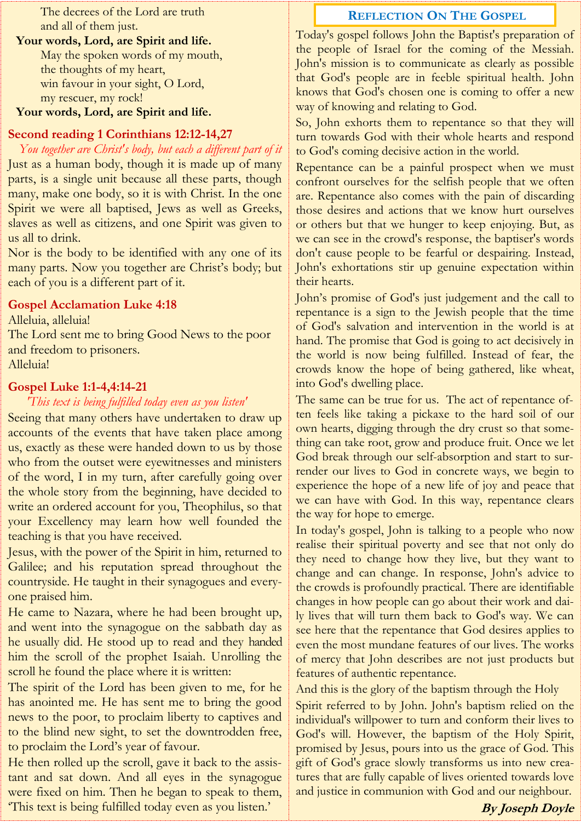The decrees of the Lord are truth and all of them just.

**Your words, Lord, are Spirit and life.** May the spoken words of my mouth, the thoughts of my heart, win favour in your sight, O Lord, my rescuer, my rock!

**Your words, Lord, are Spirit and life.**

## **Second reading 1 Corinthians 12:12-14,27**

*You together are Christ's body, but each a different part of it* Just as a human body, though it is made up of many parts, is a single unit because all these parts, though many, make one body, so it is with Christ. In the one Spirit we were all baptised, Jews as well as Greeks, slaves as well as citizens, and one Spirit was given to us all to drink.

Nor is the body to be identified with any one of its many parts. Now you together are Christ's body; but each of you is a different part of it.

## **Gospel Acclamation Luke 4:18**

Alleluia, alleluia!

The Lord sent me to bring Good News to the poor and freedom to prisoners. Alleluia!

## **Gospel Luke 1:1-4,4:14-21**

*'This text is being fulfilled today even as you listen'*

Seeing that many others have undertaken to draw up accounts of the events that have taken place among us, exactly as these were handed down to us by those who from the outset were eyewitnesses and ministers of the word, I in my turn, after carefully going over the whole story from the beginning, have decided to write an ordered account for you, Theophilus, so that your Excellency may learn how well founded the teaching is that you have received.

Jesus, with the power of the Spirit in him, returned to Galilee; and his reputation spread throughout the countryside. He taught in their synagogues and everyone praised him.

He came to Nazara, where he had been brought up, and went into the synagogue on the sabbath day as he usually did. He stood up to read and they handed him the scroll of the prophet Isaiah. Unrolling the scroll he found the place where it is written:

The spirit of the Lord has been given to me, for he has anointed me. He has sent me to bring the good news to the poor, to proclaim liberty to captives and to the blind new sight, to set the downtrodden free, to proclaim the Lord's year of favour.

He then rolled up the scroll, gave it back to the assistant and sat down. And all eyes in the synagogue were fixed on him. Then he began to speak to them, 'This text is being fulfilled today even as you listen.'

#### **REFLECTION ON THE GOSPEL**

Today's gospel follows John the Baptist's preparation of the people of Israel for the coming of the Messiah. John's mission is to communicate as clearly as possible that God's people are in feeble spiritual health. John knows that God's chosen one is coming to offer a new way of knowing and relating to God.

So, John exhorts them to repentance so that they will turn towards God with their whole hearts and respond to God's coming decisive action in the world.

Repentance can be a painful prospect when we must confront ourselves for the selfish people that we often are. Repentance also comes with the pain of discarding those desires and actions that we know hurt ourselves or others but that we hunger to keep enjoying. But, as we can see in the crowd's response, the baptiser's words don't cause people to be fearful or despairing. Instead, John's exhortations stir up genuine expectation within their hearts.

John's promise of God's just judgement and the call to repentance is a sign to the Jewish people that the time of God's salvation and intervention in the world is at hand. The promise that God is going to act decisively in the world is now being fulfilled. Instead of fear, the crowds know the hope of being gathered, like wheat, into God's dwelling place.

The same can be true for us. The act of repentance often feels like taking a pickaxe to the hard soil of our own hearts, digging through the dry crust so that something can take root, grow and produce fruit. Once we let God break through our self-absorption and start to surrender our lives to God in concrete ways, we begin to experience the hope of a new life of joy and peace that we can have with God. In this way, repentance clears the way for hope to emerge.

In today's gospel, John is talking to a people who now realise their spiritual poverty and see that not only do they need to change how they live, but they want to change and can change. In response, John's advice to the crowds is profoundly practical. There are identifiable changes in how people can go about their work and daily lives that will turn them back to God's way. We can see here that the repentance that God desires applies to even the most mundane features of our lives. The works of mercy that John describes are not just products but features of authentic repentance.

And this is the glory of the baptism through the Holy Spirit referred to by John. John's baptism relied on the individual's willpower to turn and conform their lives to God's will. However, the baptism of the Holy Spirit, promised by Jesus, pours into us the grace of God. This gift of God's grace slowly transforms us into new creatures that are fully capable of lives oriented towards love and justice in communion with God and our neighbour.

## **By Joseph Doyle**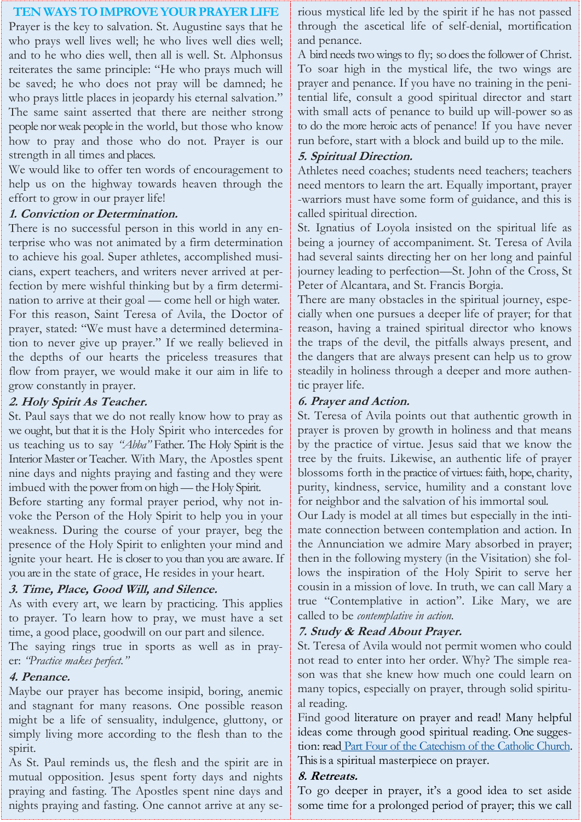# **TEN WAYS TO IMPROVE YOUR PRAYER LIFE**

Prayer is the key to salvation. St. Augustine says that he who prays well lives well; he who lives well dies well; and to he who dies well, then all is well. St. Alphonsus reiterates the same principle: "He who prays much will be saved; he who does not pray will be damned; he who prays little places in jeopardy his eternal salvation." The same saint asserted that there are neither strong people nor weak people in the world, but those who know how to pray and those who do not. Prayer is our strength in all times and places.

We would like to offer ten words of encouragement to help us on the highway towards heaven through the effort to grow in our prayer life!

## **1. Conviction or Determination.**

There is no successful person in this world in any enterprise who was not animated by a firm determination to achieve his goal. Super athletes, accomplished musicians, expert teachers, and writers never arrived at perfection by mere wishful thinking but by a firm determination to arrive at their goal — come hell or high water. For this reason, Saint Teresa of Avila, the Doctor of prayer, stated: "We must have a determined determination to never give up prayer." If we really believed in the depths of our hearts the priceless treasures that flow from prayer, we would make it our aim in life to grow constantly in prayer.

# **2. Holy Spirit As Teacher.**

St. Paul says that we do not really know how to pray as we ought, but that it is the Holy Spirit who intercedes for us teaching us to say *"Abba"* Father. The Holy Spirit is the Interior Master or Teacher. With Mary, the Apostles spent nine days and nights praying and fasting and they were imbued with the power from on high — the Holy Spirit.

Before starting any formal prayer period, why not invoke the Person of the Holy Spirit to help you in your weakness. During the course of your prayer, beg the presence of the Holy Spirit to enlighten your mind and ignite your heart. He is closer to you than you are aware. If you are in the state of grace, He resides in your heart.

# **3. Time, Place, Good Will, and Silence.**

As with every art, we learn by practicing. This applies to prayer. To learn how to pray, we must have a set time, a good place, goodwill on our part and silence.

The saying rings true in sports as well as in prayer: *"Practice makes perfect."*

# **4. Penance.**

Maybe our prayer has become insipid, boring, anemic and stagnant for many reasons. One possible reason might be a life of sensuality, indulgence, gluttony, or simply living more according to the flesh than to the spirit.

As St. Paul reminds us, the flesh and the spirit are in mutual opposition. Jesus spent forty days and nights praying and fasting. The Apostles spent nine days and nights praying and fasting. One cannot arrive at any serious mystical life led by the spirit if he has not passed through the ascetical life of self-denial, mortification and penance.

A bird needs two wings to fly; so does the follower of Christ. To soar high in the mystical life, the two wings are prayer and penance. If you have no training in the penitential life, consult a good spiritual director and start with small acts of penance to build up will-power so as to do the more heroic acts of penance! If you have never run before, start with a block and build up to the mile.

# **5. Spiritual Direction.**

Athletes need coaches; students need teachers; teachers need mentors to learn the art. Equally important, prayer -warriors must have some form of guidance, and this is called spiritual direction.

St. Ignatius of Loyola insisted on the spiritual life as being a journey of accompaniment. St. Teresa of Avila had several saints directing her on her long and painful journey leading to perfection—St. John of the Cross, St Peter of Alcantara, and St. Francis Borgia.

There are many obstacles in the spiritual journey, especially when one pursues a deeper life of prayer; for that reason, having a trained spiritual director who knows the traps of the devil, the pitfalls always present, and the dangers that are always present can help us to grow steadily in holiness through a deeper and more authentic prayer life.

# **6. Prayer and Action.**

St. Teresa of Avila points out that authentic growth in prayer is proven by growth in holiness and that means by the practice of virtue. Jesus said that we know the tree by the fruits. Likewise, an authentic life of prayer blossoms forth in the practice of virtues: faith, hope, charity, purity, kindness, service, humility and a constant love for neighbor and the salvation of his immortal soul.

Our Lady is model at all times but especially in the intimate connection between contemplation and action. In the Annunciation we admire Mary absorbed in prayer; then in the following mystery (in the Visitation) she follows the inspiration of the Holy Spirit to serve her cousin in a mission of love. In truth, we can call Mary a true "Contemplative in action". Like Mary, we are called to be *contemplative in action.*

# **7. Study & Read About Prayer.**

St. Teresa of Avila would not permit women who could not read to enter into her order. Why? The simple reason was that she knew how much one could learn on many topics, especially on prayer, through solid spiritual reading.

Find good literature on prayer and read! Many helpful ideas come through good spiritual reading. One suggestion: read [Part Four of the Catechism of the Catholic Church.](http://www.vatican.va/archive/ccc_css/archive/catechism/p4s1.htm) This is a spiritual masterpiece on prayer.

# **8. Retreats.**

To go deeper in prayer, it's a good idea to set aside some time for a prolonged period of prayer; this we call